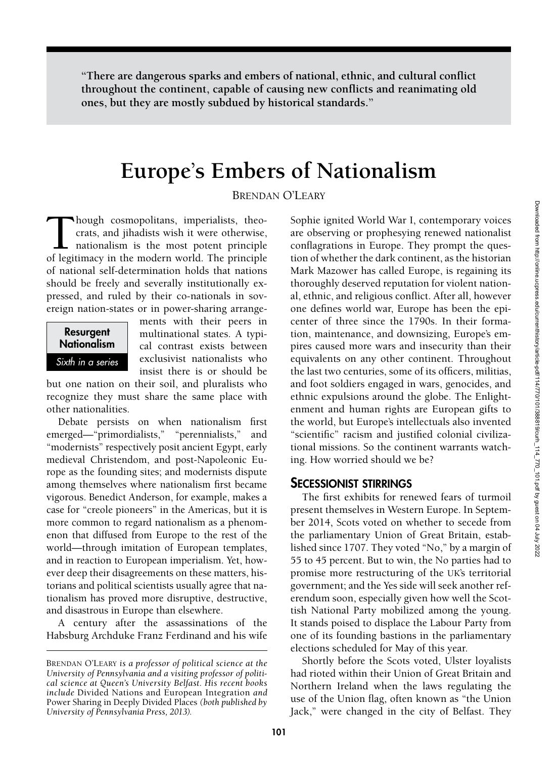**"There are dangerous sparks and embers of national, ethnic, and cultural conflict throughout the continent, capable of causing new conflicts and reanimating old ones, but they are mostly subdued by historical standards."**

# **Europe**'**s Embers of Nationalism**

BRENDAN O'LEARY

Though cosmopolitans, imperialists, theo-<br>crats, and jihadists wish it were otherwise,<br>nationalism is the most potent principle<br>of legitimacy in the modern world. The principle crats, and jihadists wish it were otherwise, nationalism is the most potent principle of legitimacy in the modern world. The principle of national self-determination holds that nations should be freely and severally institutionally expressed, and ruled by their co-nationals in sovereign nation-states or in power-sharing arrange-



ments with their peers in multinational states. A typical contrast exists between exclusivist nationalists who insist there is or should be

but one nation on their soil, and pluralists who recognize they must share the same place with other nationalities.

Debate persists on when nationalism first emerged—"primordialists," "perennialists," and "modernists" respectively posit ancient Egypt, early medieval Christendom, and post-Napoleonic Europe as the founding sites; and modernists dispute among themselves where nationalism first became vigorous. Benedict Anderson, for example, makes a case for "creole pioneers" in the Americas, but it is more common to regard nationalism as a phenomenon that diffused from Europe to the rest of the world—through imitation of European templates, and in reaction to European imperialism. Yet, however deep their disagreements on these matters, historians and political scientists usually agree that nationalism has proved more disruptive, destructive, and disastrous in Europe than elsewhere.

A century after the assassinations of the Habsburg Archduke Franz Ferdinand and his wife Sophie ignited World War I, contemporary voices are observing or prophesying renewed nationalist conflagrations in Europe. They prompt the question of whether the dark continent, as the historian Mark Mazower has called Europe, is regaining its thoroughly deserved reputation for violent national, ethnic, and religious conflict. After all, however one defines world war, Europe has been the epicenter of three since the 1790s. In their formation, maintenance, and downsizing, Europe's empires caused more wars and insecurity than their equivalents on any other continent. Throughout the last two centuries, some of its officers, militias, and foot soldiers engaged in wars, genocides, and ethnic expulsions around the globe. The Enlightenment and human rights are European gifts to the world, but Europe's intellectuals also invented "scientific" racism and justified colonial civilizational missions. So the continent warrants watching. How worried should we be?

#### SECESSIONIST STIRRINGS

The first exhibits for renewed fears of turmoil present themselves in Western Europe. In September 2014, Scots voted on whether to secede from the parliamentary Union of Great Britain, established since 1707. They voted "No," by a margin of 55 to 45 percent. But to win, the No parties had to promise more restructuring of the UK's territorial government; and the Yes side will seek another referendum soon, especially given how well the Scottish National Party mobilized among the young. It stands poised to displace the Labour Party from one of its founding bastions in the parliamentary elections scheduled for May of this year.

Shortly before the Scots voted, Ulster loyalists had rioted within their Union of Great Britain and Northern Ireland when the laws regulating the use of the Union flag, often known as "the Union Jack," were changed in the city of Belfast. They

BRENDAN O'LEARY *is a professor of political science at the University of Pennsylvania and a visiting professor of political science at Queen's University Belfast. His recent books include* Divided Nations and European Integration *and* Power Sharing in Deeply Divided Places *(both published by University of Pennsylvania Press, 2013).*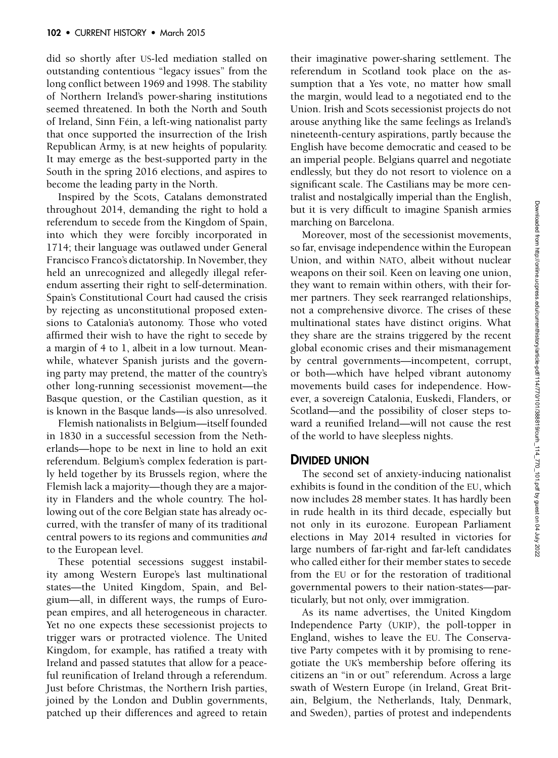did so shortly after US-led mediation stalled on outstanding contentious "legacy issues" from the long conflict between 1969 and 1998. The stability of Northern Ireland's power-sharing institutions seemed threatened. In both the North and South of Ireland, Sinn Féin, a left-wing nationalist party that once supported the insurrection of the Irish Republican Army, is at new heights of popularity. It may emerge as the best-supported party in the South in the spring 2016 elections, and aspires to become the leading party in the North.

Inspired by the Scots, Catalans demonstrated throughout 2014, demanding the right to hold a referendum to secede from the Kingdom of Spain, into which they were forcibly incorporated in 1714; their language was outlawed under General Francisco Franco's dictatorship. In November, they held an unrecognized and allegedly illegal referendum asserting their right to self-determination. Spain's Constitutional Court had caused the crisis by rejecting as unconstitutional proposed extensions to Catalonia's autonomy. Those who voted affirmed their wish to have the right to secede by a margin of 4 to 1, albeit in a low turnout. Meanwhile, whatever Spanish jurists and the governing party may pretend, the matter of the country's other long-running secessionist movement—the Basque question, or the Castilian question, as it is known in the Basque lands—is also unresolved.

Flemish nationalists in Belgium—itself founded in 1830 in a successful secession from the Netherlands—hope to be next in line to hold an exit referendum. Belgium's complex federation is partly held together by its Brussels region, where the Flemish lack a majority—though they are a majority in Flanders and the whole country. The hollowing out of the core Belgian state has already occurred, with the transfer of many of its traditional central powers to its regions and communities *and* to the European level.

These potential secessions suggest instability among Western Europe's last multinational states—the United Kingdom, Spain, and Belgium—all, in different ways, the rumps of European empires, and all heterogeneous in character. Yet no one expects these secessionist projects to trigger wars or protracted violence. The United Kingdom, for example, has ratified a treaty with Ireland and passed statutes that allow for a peaceful reunification of Ireland through a referendum. Just before Christmas, the Northern Irish parties, joined by the London and Dublin governments, patched up their differences and agreed to retain

their imaginative power-sharing settlement. The referendum in Scotland took place on the assumption that a Yes vote, no matter how small the margin, would lead to a negotiated end to the Union. Irish and Scots secessionist projects do not arouse anything like the same feelings as Ireland's nineteenth-century aspirations, partly because the English have become democratic and ceased to be an imperial people. Belgians quarrel and negotiate endlessly, but they do not resort to violence on a significant scale. The Castilians may be more centralist and nostalgically imperial than the English, but it is very difficult to imagine Spanish armies marching on Barcelona.

Moreover, most of the secessionist movements, so far, envisage independence within the European Union, and within NATO, albeit without nuclear weapons on their soil. Keen on leaving one union, they want to remain within others, with their former partners. They seek rearranged relationships, not a comprehensive divorce. The crises of these multinational states have distinct origins. What they share are the strains triggered by the recent global economic crises and their mismanagement by central governments—incompetent, corrupt, or both—which have helped vibrant autonomy movements build cases for independence. However, a sovereign Catalonia, Euskedi, Flanders, or Scotland—and the possibility of closer steps toward a reunified Ireland—will not cause the rest of the world to have sleepless nights.

## DIVIDED UNION

The second set of anxiety-inducing nationalist exhibits is found in the condition of the EU, which now includes 28 member states. It has hardly been in rude health in its third decade, especially but not only in its eurozone. European Parliament elections in May 2014 resulted in victories for large numbers of far-right and far-left candidates who called either for their member states to secede from the EU or for the restoration of traditional governmental powers to their nation-states—particularly, but not only, over immigration.

As its name advertises, the United Kingdom Independence Party (UKIP), the poll-topper in England, wishes to leave the EU. The Conservative Party competes with it by promising to renegotiate the UK's membership before offering its citizens an "in or out" referendum. Across a large swath of Western Europe (in Ireland, Great Britain, Belgium, the Netherlands, Italy, Denmark, and Sweden), parties of protest and independents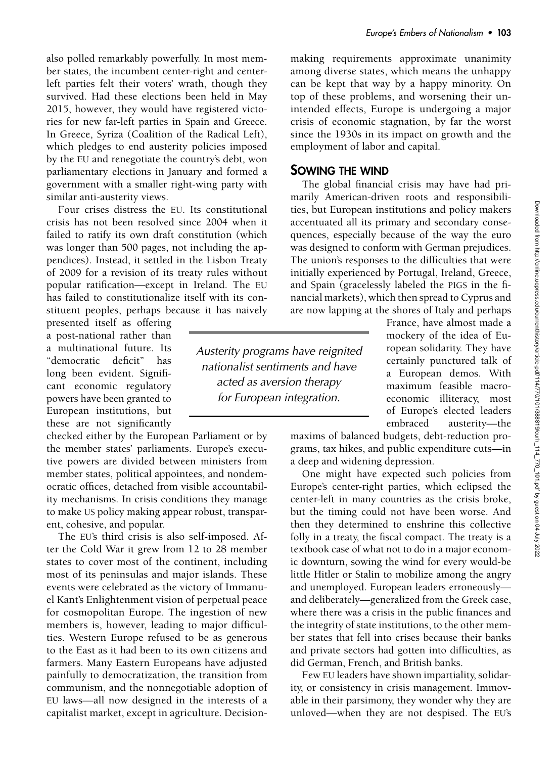also polled remarkably powerfully. In most member states, the incumbent center-right and centerleft parties felt their voters' wrath, though they survived. Had these elections been held in May 2015, however, they would have registered victories for new far-left parties in Spain and Greece. In Greece, Syriza (Coalition of the Radical Left), which pledges to end austerity policies imposed by the EU and renegotiate the country's debt, won parliamentary elections in January and formed a government with a smaller right-wing party with similar anti-austerity views.

Four crises distress the EU. Its constitutional crisis has not been resolved since 2004 when it failed to ratify its own draft constitution (which was longer than 500 pages, not including the appendices). Instead, it settled in the Lisbon Treaty of 2009 for a revision of its treaty rules without popular ratification—except in Ireland. The EU has failed to constitutionalize itself with its constituent peoples, perhaps because it has naively

presented itself as offering a post-national rather than a multinational future. Its "democratic deficit" has long been evident. Significant economic regulatory powers have been granted to European institutions, but these are not significantly

checked either by the European Parliament or by the member states' parliaments. Europe's executive powers are divided between ministers from member states, political appointees, and nondemocratic offices, detached from visible accountability mechanisms. In crisis conditions they manage to make US policy making appear robust, transparent, cohesive, and popular.

The EU's third crisis is also self-imposed. After the Cold War it grew from 12 to 28 member states to cover most of the continent, including most of its peninsulas and major islands. These events were celebrated as the victory of Immanuel Kant's Enlightenment vision of perpetual peace for cosmopolitan Europe. The ingestion of new members is, however, leading to major difficulties. Western Europe refused to be as generous to the East as it had been to its own citizens and farmers. Many Eastern Europeans have adjusted painfully to democratization, the transition from communism, and the nonnegotiable adoption of EU laws—all now designed in the interests of a capitalist market, except in agriculture. Decisionmaking requirements approximate unanimity among diverse states, which means the unhappy can be kept that way by a happy minority. On top of these problems, and worsening their unintended effects, Europe is undergoing a major crisis of economic stagnation, by far the worst since the 1930s in its impact on growth and the employment of labor and capital.

## SOWING THE WIND

The global financial crisis may have had primarily American-driven roots and responsibilities, but European institutions and policy makers accentuated all its primary and secondary consequences, especially because of the way the euro was designed to conform with German prejudices. The union's responses to the difficulties that were initially experienced by Portugal, Ireland, Greece, and Spain (gracelessly labeled the PIGS in the financial markets), which then spread to Cyprus and are now lapping at the shores of Italy and perhaps

Austerity programs have reignited nationalist sentiments and have acted as aversion therapy for European integration.

France, have almost made a mockery of the idea of European solidarity. They have certainly punctured talk of a European demos. With maximum feasible macroeconomic illiteracy, most of Europe's elected leaders embraced austerity—the

maxims of balanced budgets, debt-reduction programs, tax hikes, and public expenditure cuts—in a deep and widening depression.

One might have expected such policies from Europe's center-right parties, which eclipsed the center-left in many countries as the crisis broke, but the timing could not have been worse. And then they determined to enshrine this collective folly in a treaty, the fiscal compact. The treaty is a textbook case of what not to do in a major economic downturn, sowing the wind for every would-be little Hitler or Stalin to mobilize among the angry and unemployed. European leaders erroneously and deliberately—generalized from the Greek case, where there was a crisis in the public finances and the integrity of state institutions, to the other member states that fell into crises because their banks and private sectors had gotten into difficulties, as did German, French, and British banks.

Few EU leaders have shown impartiality, solidarity, or consistency in crisis management. Immovable in their parsimony, they wonder why they are unloved—when they are not despised. The EU's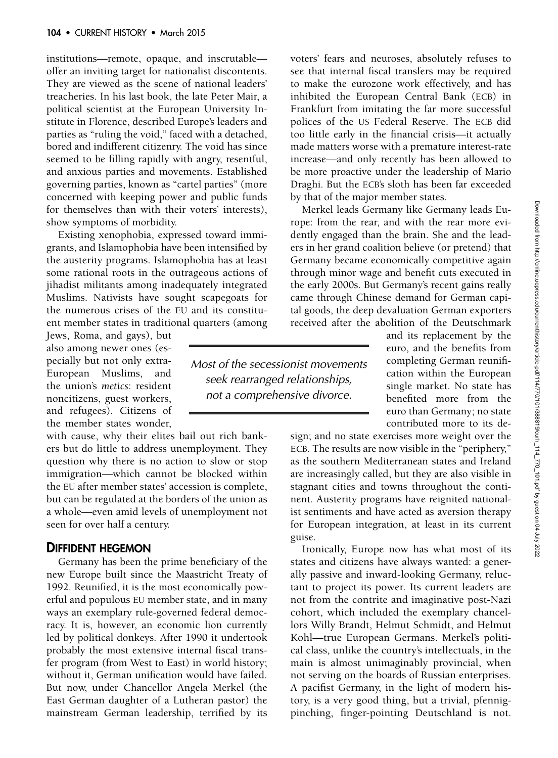institutions—remote, opaque, and inscrutable offer an inviting target for nationalist discontents. They are viewed as the scene of national leaders' treacheries. In his last book, the late Peter Mair, a political scientist at the European University Institute in Florence, described Europe's leaders and parties as "ruling the void," faced with a detached, bored and indifferent citizenry. The void has since seemed to be filling rapidly with angry, resentful, and anxious parties and movements. Established governing parties, known as "cartel parties" (more concerned with keeping power and public funds for themselves than with their voters' interests), show symptoms of morbidity.

Existing xenophobia, expressed toward immigrants, and Islamophobia have been intensified by the austerity programs. Islamophobia has at least some rational roots in the outrageous actions of jihadist militants among inadequately integrated Muslims. Nativists have sought scapegoats for the numerous crises of the EU and its constituent member states in traditional quarters (among

Jews, Roma, and gays), but also among newer ones (especially but not only extra-European Muslims, and the union's *metics*: resident noncitizens, guest workers, and refugees). Citizens of the member states wonder,

with cause, why their elites bail out rich bankers but do little to address unemployment. They question why there is no action to slow or stop immigration—which cannot be blocked within the EU after member states' accession is complete, but can be regulated at the borders of the union as a whole—even amid levels of unemployment not seen for over half a century.

#### DIFFIDENT HEGEMON

Germany has been the prime beneficiary of the new Europe built since the Maastricht Treaty of 1992. Reunified, it is the most economically powerful and populous EU member state, and in many ways an exemplary rule-governed federal democracy. It is, however, an economic lion currently led by political donkeys. After 1990 it undertook probably the most extensive internal fiscal transfer program (from West to East) in world history; without it, German unification would have failed. But now, under Chancellor Angela Merkel (the East German daughter of a Lutheran pastor) the mainstream German leadership, terrified by its

voters' fears and neuroses, absolutely refuses to see that internal fiscal transfers may be required to make the eurozone work effectively, and has inhibited the European Central Bank (ECB) in Frankfurt from imitating the far more successful polices of the US Federal Reserve. The ECB did too little early in the financial crisis—it actually made matters worse with a premature interest-rate increase—and only recently has been allowed to be more proactive under the leadership of Mario Draghi. But the ECB's sloth has been far exceeded by that of the major member states.

Merkel leads Germany like Germany leads Europe: from the rear, and with the rear more evidently engaged than the brain. She and the leaders in her grand coalition believe (or pretend) that Germany became economically competitive again through minor wage and benefit cuts executed in the early 2000s. But Germany's recent gains really came through Chinese demand for German capital goods, the deep devaluation German exporters received after the abolition of the Deutschmark

Most of the secessionist movements seek rearranged relationships, not a comprehensive divorce.

and its replacement by the euro, and the benefits from completing German reunification within the European single market. No state has benefited more from the euro than Germany; no state contributed more to its de-

sign; and no state exercises more weight over the ECB. The results are now visible in the "periphery," as the southern Mediterranean states and Ireland are increasingly called, but they are also visible in stagnant cities and towns throughout the continent. Austerity programs have reignited nationalist sentiments and have acted as aversion therapy for European integration, at least in its current guise.

Ironically, Europe now has what most of its states and citizens have always wanted: a generally passive and inward-looking Germany, reluctant to project its power. Its current leaders are not from the contrite and imaginative post-Nazi cohort, which included the exemplary chancellors Willy Brandt, Helmut Schmidt, and Helmut Kohl—true European Germans. Merkel's political class, unlike the country's intellectuals, in the main is almost unimaginably provincial, when not serving on the boards of Russian enterprises. A pacifist Germany, in the light of modern history, is a very good thing, but a trivial, pfennigpinching, finger-pointing Deutschland is not.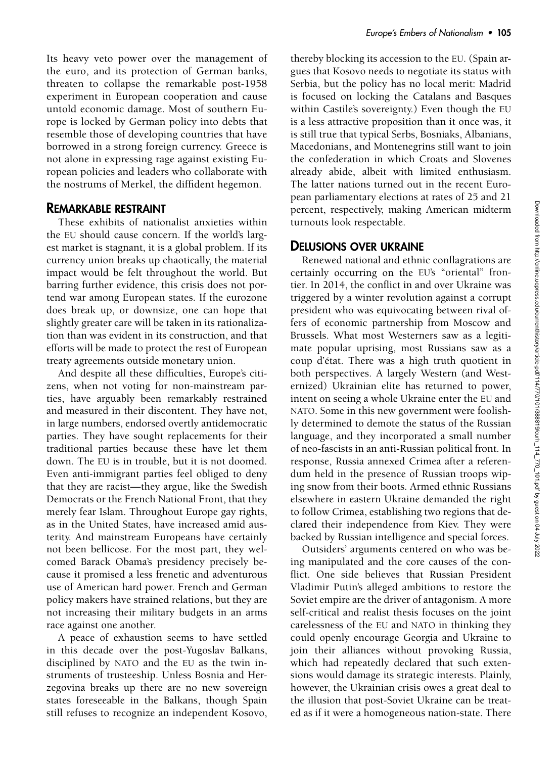Its heavy veto power over the management of the euro, and its protection of German banks, threaten to collapse the remarkable post-1958 experiment in European cooperation and cause untold economic damage. Most of southern Europe is locked by German policy into debts that resemble those of developing countries that have borrowed in a strong foreign currency. Greece is not alone in expressing rage against existing European policies and leaders who collaborate with the nostrums of Merkel, the diffident hegemon.

## REMARKABLE RESTRAINT

These exhibits of nationalist anxieties within the EU should cause concern. If the world's largest market is stagnant, it is a global problem. If its currency union breaks up chaotically, the material impact would be felt throughout the world. But barring further evidence, this crisis does not portend war among European states. If the eurozone does break up, or downsize, one can hope that slightly greater care will be taken in its rationalization than was evident in its construction, and that efforts will be made to protect the rest of European treaty agreements outside monetary union.

And despite all these difficulties, Europe's citizens, when not voting for non-mainstream parties, have arguably been remarkably restrained and measured in their discontent. They have not, in large numbers, endorsed overtly antidemocratic parties. They have sought replacements for their traditional parties because these have let them down. The EU is in trouble, but it is not doomed. Even anti-immigrant parties feel obliged to deny that they are racist—they argue, like the Swedish Democrats or the French National Front, that they merely fear Islam. Throughout Europe gay rights, as in the United States, have increased amid austerity. And mainstream Europeans have certainly not been bellicose. For the most part, they welcomed Barack Obama's presidency precisely because it promised a less frenetic and adventurous use of American hard power. French and German policy makers have strained relations, but they are not increasing their military budgets in an arms race against one another.

A peace of exhaustion seems to have settled in this decade over the post-Yugoslav Balkans, disciplined by NATO and the EU as the twin instruments of trusteeship. Unless Bosnia and Herzegovina breaks up there are no new sovereign states foreseeable in the Balkans, though Spain still refuses to recognize an independent Kosovo, thereby blocking its accession to the EU. (Spain argues that Kosovo needs to negotiate its status with Serbia, but the policy has no local merit: Madrid is focused on locking the Catalans and Basques within Castile's sovereignty.) Even though the EU is a less attractive proposition than it once was, it is still true that typical Serbs, Bosniaks, Albanians, Macedonians, and Montenegrins still want to join the confederation in which Croats and Slovenes already abide, albeit with limited enthusiasm. The latter nations turned out in the recent European parliamentary elections at rates of 25 and 21 percent, respectively, making American midterm turnouts look respectable.

# DELUSIONS OVER UKRAINE

Renewed national and ethnic conflagrations are certainly occurring on the EU's "oriental" frontier. In 2014, the conflict in and over Ukraine was triggered by a winter revolution against a corrupt president who was equivocating between rival offers of economic partnership from Moscow and Brussels. What most Westerners saw as a legitimate popular uprising, most Russians saw as a coup d'état. There was a high truth quotient in both perspectives. A largely Western (and Westernized) Ukrainian elite has returned to power, intent on seeing a whole Ukraine enter the EU and NATO. Some in this new government were foolishly determined to demote the status of the Russian language, and they incorporated a small number of neo-fascists in an anti-Russian political front. In response, Russia annexed Crimea after a referendum held in the presence of Russian troops wiping snow from their boots. Armed ethnic Russians elsewhere in eastern Ukraine demanded the right to follow Crimea, establishing two regions that declared their independence from Kiev. They were backed by Russian intelligence and special forces.

Outsiders' arguments centered on who was being manipulated and the core causes of the conflict. One side believes that Russian President Vladimir Putin's alleged ambitions to restore the Soviet empire are the driver of antagonism. A more self-critical and realist thesis focuses on the joint carelessness of the EU and NATO in thinking they could openly encourage Georgia and Ukraine to join their alliances without provoking Russia, which had repeatedly declared that such extensions would damage its strategic interests. Plainly, however, the Ukrainian crisis owes a great deal to the illusion that post-Soviet Ukraine can be treated as if it were a homogeneous nation-state. There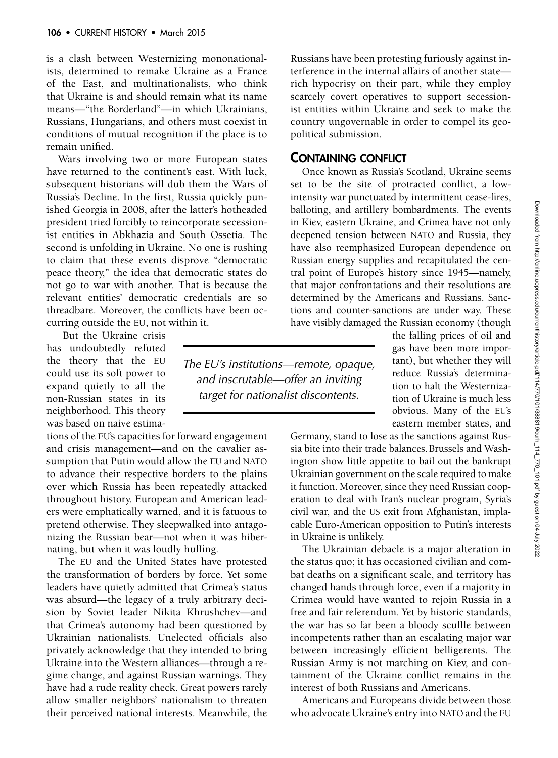is a clash between Westernizing mononationalists, determined to remake Ukraine as a France of the East, and multinationalists, who think that Ukraine is and should remain what its name means—"the Borderland"—in which Ukrainians, Russians, Hungarians, and others must coexist in conditions of mutual recognition if the place is to remain unified.

Wars involving two or more European states have returned to the continent's east. With luck, subsequent historians will dub them the Wars of Russia's Decline. In the first, Russia quickly punished Georgia in 2008, after the latter's hotheaded president tried forcibly to reincorporate secessionist entities in Abkhazia and South Ossetia. The second is unfolding in Ukraine. No one is rushing to claim that these events disprove "democratic peace theory," the idea that democratic states do not go to war with another. That is because the relevant entities' democratic credentials are so threadbare. Moreover, the conflicts have been occurring outside the EU, not within it.

 But the Ukraine crisis has undoubtedly refuted the theory that the EU could use its soft power to expand quietly to all the non-Russian states in its neighborhood. This theory was based on naive estima-

tions of the EU's capacities for forward engagement and crisis management—and on the cavalier assumption that Putin would allow the EU and NATO to advance their respective borders to the plains over which Russia has been repeatedly attacked throughout history. European and American leaders were emphatically warned, and it is fatuous to pretend otherwise. They sleepwalked into antagonizing the Russian bear—not when it was hibernating, but when it was loudly huffing.

The EU and the United States have protested the transformation of borders by force. Yet some leaders have quietly admitted that Crimea's status was absurd—the legacy of a truly arbitrary decision by Soviet leader Nikita Khrushchev—and that Crimea's autonomy had been questioned by Ukrainian nationalists. Unelected officials also privately acknowledge that they intended to bring Ukraine into the Western alliances—through a regime change, and against Russian warnings. They have had a rude reality check. Great powers rarely allow smaller neighbors' nationalism to threaten their perceived national interests. Meanwhile, the

The EU's institutions—remote, opaque, and inscrutable—offer an inviting target for nationalist discontents.

Russians have been protesting furiously against interference in the internal affairs of another state rich hypocrisy on their part, while they employ scarcely covert operatives to support secessionist entities within Ukraine and seek to make the country ungovernable in order to compel its geopolitical submission.

#### CONTAINING CONFLICT

Once known as Russia's Scotland, Ukraine seems set to be the site of protracted conflict, a lowintensity war punctuated by intermittent cease-fires, balloting, and artillery bombardments. The events in Kiev, eastern Ukraine, and Crimea have not only deepened tension between NATO and Russia, they have also reemphasized European dependence on Russian energy supplies and recapitulated the central point of Europe's history since 1945—namely, that major confrontations and their resolutions are determined by the Americans and Russians. Sanctions and counter-sanctions are under way. These have visibly damaged the Russian economy (though

the falling prices of oil and gas have been more important), but whether they will reduce Russia's determination to halt the Westernization of Ukraine is much less obvious. Many of the EU's eastern member states, and

Germany, stand to lose as the sanctions against Russia bite into their trade balances.Brussels and Washington show little appetite to bail out the bankrupt Ukrainian government on the scale required to make it function. Moreover, since they need Russian cooperation to deal with Iran's nuclear program, Syria's civil war, and the US exit from Afghanistan, implacable Euro-American opposition to Putin's interests in Ukraine is unlikely.

The Ukrainian debacle is a major alteration in the status quo; it has occasioned civilian and combat deaths on a significant scale, and territory has changed hands through force, even if a majority in Crimea would have wanted to rejoin Russia in a free and fair referendum. Yet by historic standards, the war has so far been a bloody scuffle between incompetents rather than an escalating major war between increasingly efficient belligerents. The Russian Army is not marching on Kiev, and containment of the Ukraine conflict remains in the interest of both Russians and Americans.

Americans and Europeans divide between those who advocate Ukraine's entry into NATO and the EU